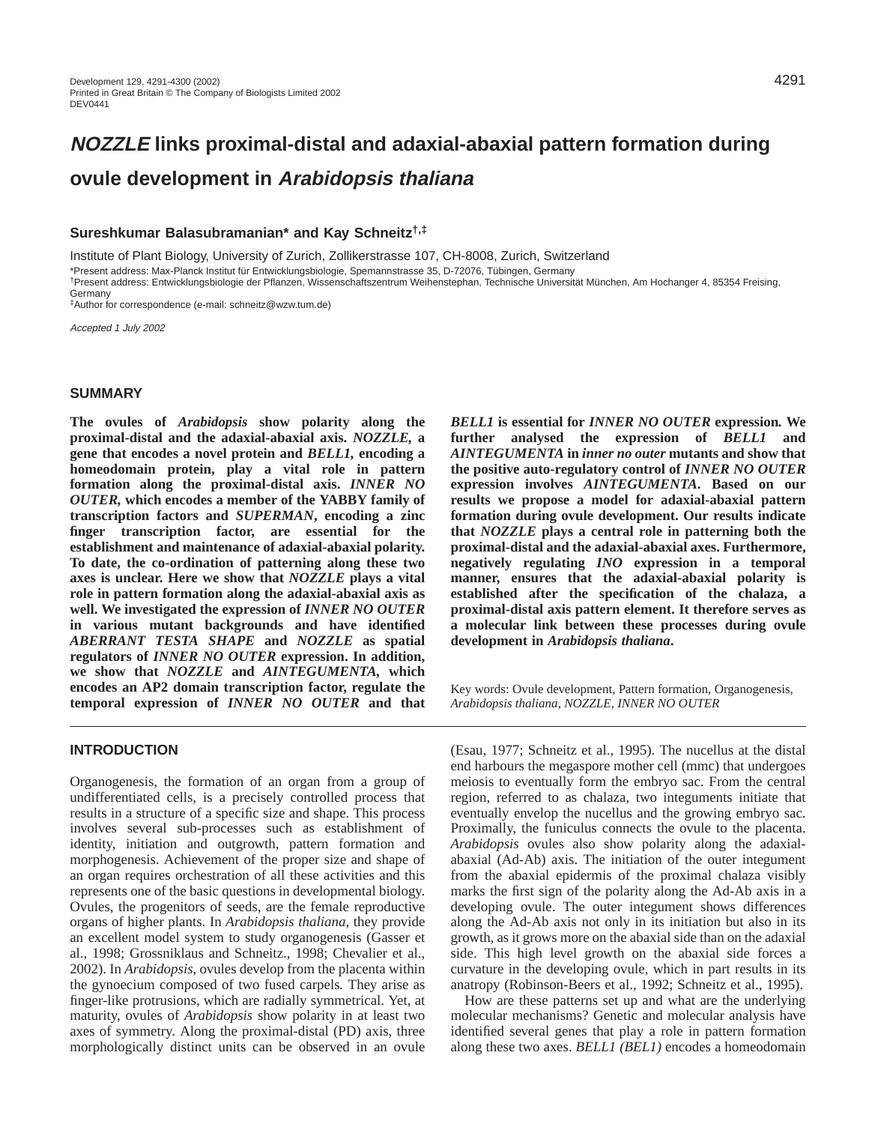# **NOZZLE links proximal-distal and adaxial-abaxial pattern formation during ovule development in Arabidopsis thaliana**

## **Sureshkumar Balasubramanian\* and Kay Schneitz†,‡**

Institute of Plant Biology, University of Zurich, Zollikerstrasse 107, CH-8008, Zurich, Switzerland \*Present address: Max-Planck Institut für Entwicklungsbiologie, Spemannstrasse 35, D-72076, Tübingen, Germany †Present address: Entwicklungsbiologie der Pflanzen, Wissenschaftszentrum Weihenstephan, Technische Universität München, Am Hochanger 4, 85354 Freising, Germany

‡Author for correspondence (e-mail: schneitz@wzw.tum.de)

Accepted 1 July 2002

#### **SUMMARY**

**The ovules of** *Arabidopsis* **show polarity along the proximal-distal and the adaxial-abaxial axis.** *NOZZLE,* **a gene that encodes a novel protein and** *BELL1,* **encoding a homeodomain protein, play a vital role in pattern formation along the proximal-distal axis.** *INNER NO OUTER,* **which encodes a member of the YABBY family of transcription factors and** *SUPERMAN***, encoding a zinc finger transcription factor, are essential for the establishment and maintenance of adaxial-abaxial polarity. To date, the co-ordination of patterning along these two axes is unclear. Here we show that** *NOZZLE* **plays a vital role in pattern formation along the adaxial-abaxial axis as well. We investigated the expression of** *INNER NO OUTER* **in various mutant backgrounds and have identified** *ABERRANT TESTA SHAPE* **and** *NOZZLE* **as spatial regulators of** *INNER NO OUTER* **expression. In addition, we show that** *NOZZLE* **and** *AINTEGUMENTA,* **which encodes an AP2 domain transcription factor, regulate the temporal expression of** *INNER NO OUTER* **and that**

# **INTRODUCTION**

Organogenesis, the formation of an organ from a group of undifferentiated cells, is a precisely controlled process that results in a structure of a specific size and shape. This process involves several sub-processes such as establishment of identity, initiation and outgrowth, pattern formation and morphogenesis. Achievement of the proper size and shape of an organ requires orchestration of all these activities and this represents one of the basic questions in developmental biology. Ovules, the progenitors of seeds, are the female reproductive organs of higher plants. In *Arabidopsis thaliana,* they provide an excellent model system to study organogenesis (Gasser et al., 1998; Grossniklaus and Schneitz., 1998; Chevalier et al., 2002). In *Arabidopsis*, ovules develop from the placenta within the gynoecium composed of two fused carpels*.* They arise as finger-like protrusions, which are radially symmetrical. Yet, at maturity, ovules of *Arabidopsis* show polarity in at least two axes of symmetry. Along the proximal-distal (PD) axis, three morphologically distinct units can be observed in an ovule *BELL1* **is essential for** *INNER NO OUTER* **expression***.* **We further analysed the expression of** *BELL1* **and** *AINTEGUMENTA* **in** *inner no outer* **mutants and show that the positive auto-regulatory control of** *INNER NO OUTER* **expression involves** *AINTEGUMENTA***. Based on our results we propose a model for adaxial-abaxial pattern formation during ovule development. Our results indicate that** *NOZZLE* **plays a central role in patterning both the proximal-distal and the adaxial-abaxial axes. Furthermore, negatively regulating** *INO* **expression in a temporal manner, ensures that the adaxial-abaxial polarity is established after the specification of the chalaza, a proximal-distal axis pattern element. It therefore serves as a molecular link between these processes during ovule development in** *Arabidopsis thaliana***.**

Key words: Ovule development, Pattern formation, Organogenesis, *Arabidopsis thaliana, NOZZLE, INNER NO OUTER*

(Esau, 1977; Schneitz et al., 1995). The nucellus at the distal end harbours the megaspore mother cell (mmc) that undergoes meiosis to eventually form the embryo sac. From the central region, referred to as chalaza, two integuments initiate that eventually envelop the nucellus and the growing embryo sac. Proximally, the funiculus connects the ovule to the placenta. *Arabidopsis* ovules also show polarity along the adaxialabaxial (Ad-Ab) axis. The initiation of the outer integument from the abaxial epidermis of the proximal chalaza visibly marks the first sign of the polarity along the Ad-Ab axis in a developing ovule. The outer integument shows differences along the Ad-Ab axis not only in its initiation but also in its growth, as it grows more on the abaxial side than on the adaxial side. This high level growth on the abaxial side forces a curvature in the developing ovule, which in part results in its anatropy (Robinson-Beers et al., 1992; Schneitz et al., 1995).

How are these patterns set up and what are the underlying molecular mechanisms? Genetic and molecular analysis have identified several genes that play a role in pattern formation along these two axes. *BELL1 (BEL1)* encodes a homeodomain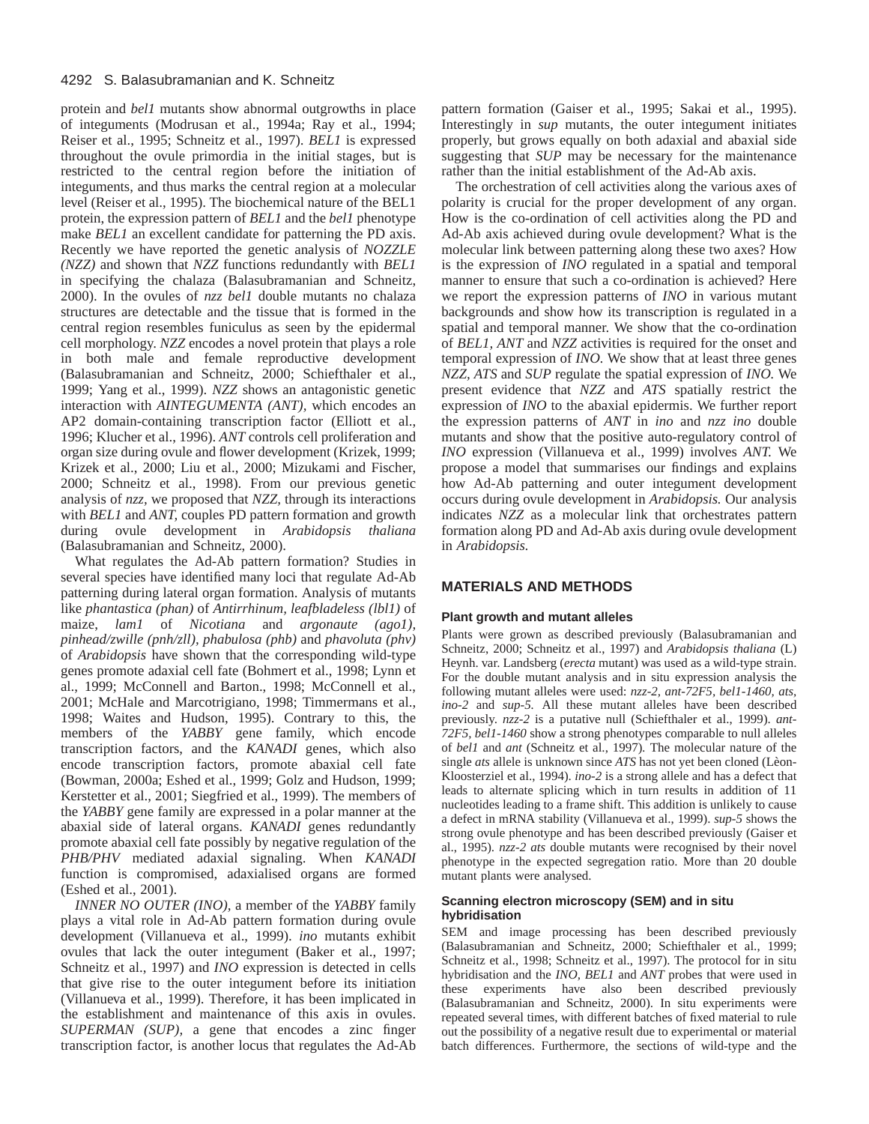protein and *bel1* mutants show abnormal outgrowths in place of integuments (Modrusan et al., 1994a; Ray et al., 1994; Reiser et al., 1995; Schneitz et al., 1997). *BEL1* is expressed throughout the ovule primordia in the initial stages, but is restricted to the central region before the initiation of integuments, and thus marks the central region at a molecular level (Reiser et al., 1995). The biochemical nature of the BEL1 protein, the expression pattern of *BEL1* and the *bel1* phenotype make *BEL1* an excellent candidate for patterning the PD axis. Recently we have reported the genetic analysis of *NOZZLE (NZZ)* and shown that *NZZ* functions redundantly with *BEL1* in specifying the chalaza (Balasubramanian and Schneitz, 2000). In the ovules of *nzz bel1* double mutants no chalaza structures are detectable and the tissue that is formed in the central region resembles funiculus as seen by the epidermal cell morphology. *NZZ* encodes a novel protein that plays a role in both male and female reproductive development (Balasubramanian and Schneitz, 2000; Schiefthaler et al., 1999; Yang et al., 1999). *NZZ* shows an antagonistic genetic interaction with *AINTEGUMENTA (ANT),* which encodes an AP2 domain-containing transcription factor (Elliott et al., 1996; Klucher et al., 1996). *ANT* controls cell proliferation and organ size during ovule and flower development (Krizek, 1999; Krizek et al., 2000; Liu et al., 2000; Mizukami and Fischer, 2000; Schneitz et al., 1998). From our previous genetic analysis of *nzz,* we proposed that *NZZ,* through its interactions with *BEL1* and *ANT,* couples PD pattern formation and growth during ovule development in *Arabidopsis thaliana* (Balasubramanian and Schneitz, 2000).

What regulates the Ad-Ab pattern formation? Studies in several species have identified many loci that regulate Ad-Ab patterning during lateral organ formation. Analysis of mutants like *phantastica (phan)* of *Antirrhinum, leafbladeless (lbl1)* of maize, *lam1* of *Nicotiana* and *argonaute (ago1), pinhead/zwille (pnh/zll), phabulosa (phb)* and *phavoluta (phv)* of *Arabidopsis* have shown that the corresponding wild-type genes promote adaxial cell fate (Bohmert et al., 1998; Lynn et al., 1999; McConnell and Barton., 1998; McConnell et al., 2001; McHale and Marcotrigiano, 1998; Timmermans et al., 1998; Waites and Hudson, 1995). Contrary to this, the members of the *YABBY* gene family, which encode transcription factors, and the *KANADI* genes, which also encode transcription factors, promote abaxial cell fate (Bowman, 2000a; Eshed et al., 1999; Golz and Hudson, 1999; Kerstetter et al., 2001; Siegfried et al., 1999). The members of the *YABBY* gene family are expressed in a polar manner at the abaxial side of lateral organs. *KANADI* genes redundantly promote abaxial cell fate possibly by negative regulation of the *PHB/PHV* mediated adaxial signaling. When *KANADI* function is compromised, adaxialised organs are formed (Eshed et al., 2001).

*INNER NO OUTER (INO),* a member of the *YABBY* family plays a vital role in Ad-Ab pattern formation during ovule development (Villanueva et al., 1999). *ino* mutants exhibit ovules that lack the outer integument (Baker et al., 1997; Schneitz et al., 1997) and *INO* expression is detected in cells that give rise to the outer integument before its initiation (Villanueva et al., 1999). Therefore, it has been implicated in the establishment and maintenance of this axis in ovules. *SUPERMAN (SUP),* a gene that encodes a zinc finger transcription factor, is another locus that regulates the Ad-Ab

pattern formation (Gaiser et al., 1995; Sakai et al., 1995). Interestingly in *sup* mutants, the outer integument initiates properly, but grows equally on both adaxial and abaxial side suggesting that *SUP* may be necessary for the maintenance rather than the initial establishment of the Ad-Ab axis.

The orchestration of cell activities along the various axes of polarity is crucial for the proper development of any organ. How is the co-ordination of cell activities along the PD and Ad-Ab axis achieved during ovule development? What is the molecular link between patterning along these two axes? How is the expression of *INO* regulated in a spatial and temporal manner to ensure that such a co-ordination is achieved? Here we report the expression patterns of *INO* in various mutant backgrounds and show how its transcription is regulated in a spatial and temporal manner. We show that the co-ordination of *BEL1, ANT* and *NZZ* activities is required for the onset and temporal expression of *INO.* We show that at least three genes *NZZ, ATS* and *SUP* regulate the spatial expression of *INO.* We present evidence that *NZZ* and *ATS* spatially restrict the expression of *INO* to the abaxial epidermis. We further report the expression patterns of *ANT* in *ino* and *nzz ino* double mutants and show that the positive auto-regulatory control of *INO* expression (Villanueva et al., 1999) involves *ANT.* We propose a model that summarises our findings and explains how Ad-Ab patterning and outer integument development occurs during ovule development in *Arabidopsis.* Our analysis indicates *NZZ* as a molecular link that orchestrates pattern formation along PD and Ad-Ab axis during ovule development in *Arabidopsis.*

## **MATERIALS AND METHODS**

#### **Plant growth and mutant alleles**

Plants were grown as described previously (Balasubramanian and Schneitz, 2000; Schneitz et al., 1997) and *Arabidopsis thaliana* (L) Heynh. var. Landsberg (*erecta* mutant) was used as a wild-type strain. For the double mutant analysis and in situ expression analysis the following mutant alleles were used: *nzz-2, ant-72F5, bel1-1460, ats, ino-2* and *sup-5.* All these mutant alleles have been described previously. *nzz-2* is a putative null (Schiefthaler et al., 1999). *ant-72F5, bel1-1460* show a strong phenotypes comparable to null alleles of *bel1* and *ant* (Schneitz et al., 1997)*.* The molecular nature of the single *ats* allele is unknown since *ATS* has not yet been cloned (Lèon-Kloosterziel et al., 1994). *ino-2* is a strong allele and has a defect that leads to alternate splicing which in turn results in addition of 11 nucleotides leading to a frame shift. This addition is unlikely to cause a defect in mRNA stability (Villanueva et al., 1999). *sup-5* shows the strong ovule phenotype and has been described previously (Gaiser et al., 1995). *nzz-2 ats* double mutants were recognised by their novel phenotype in the expected segregation ratio. More than 20 double mutant plants were analysed.

#### **Scanning electron microscopy (SEM) and in situ hybridisation**

SEM and image processing has been described previously (Balasubramanian and Schneitz, 2000; Schiefthaler et al., 1999; Schneitz et al., 1998; Schneitz et al., 1997). The protocol for in situ hybridisation and the *INO, BEL1* and *ANT* probes that were used in these experiments have also been described previously (Balasubramanian and Schneitz, 2000). In situ experiments were repeated several times, with different batches of fixed material to rule out the possibility of a negative result due to experimental or material batch differences. Furthermore, the sections of wild-type and the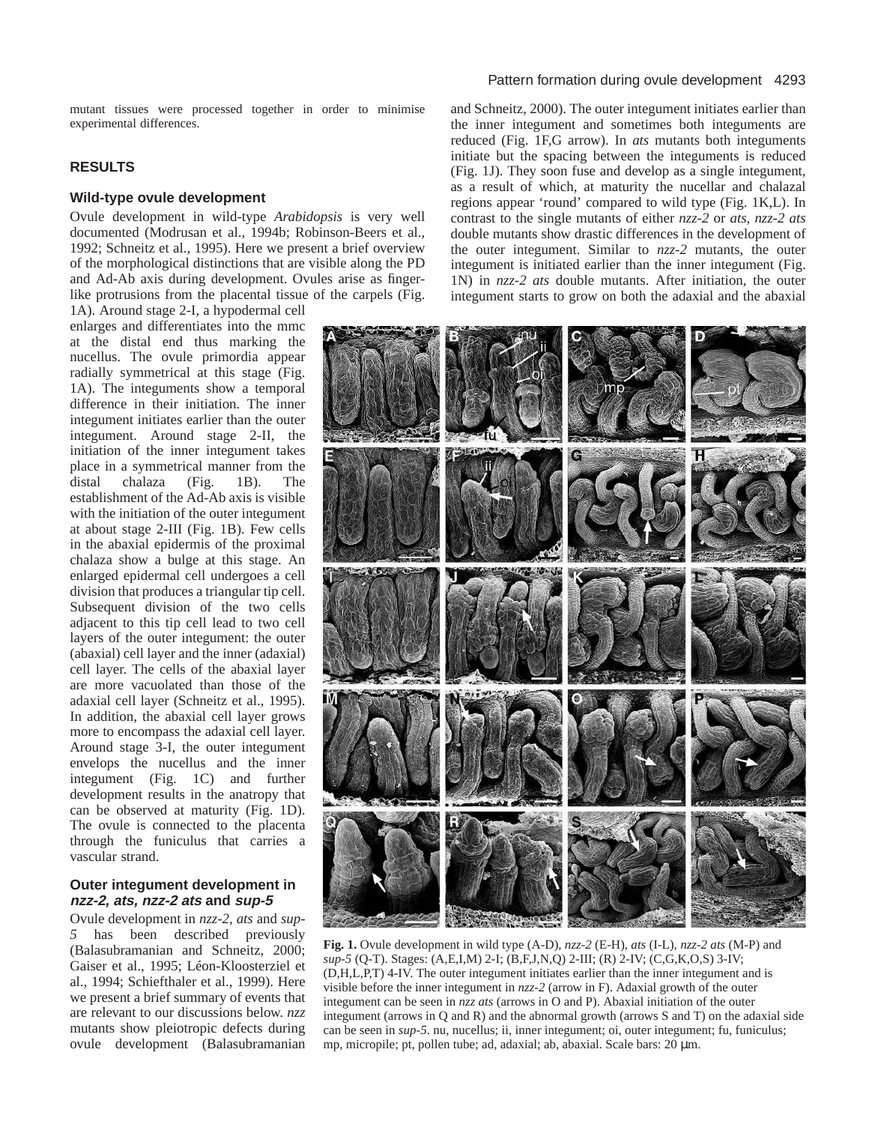mutant tissues were processed together in order to minimise experimental differences.

# **RESULTS**

#### **Wild-type ovule development**

Ovule development in wild-type *Arabidopsis* is very well documented (Modrusan et al., 1994b; Robinson-Beers et al., 1992; Schneitz et al., 1995). Here we present a brief overview of the morphological distinctions that are visible along the PD and Ad-Ab axis during development. Ovules arise as fingerlike protrusions from the placental tissue of the carpels (Fig.

1A). Around stage 2-I, a hypodermal cell enlarges and differentiates into the mmc at the distal end thus marking the nucellus. The ovule primordia appear radially symmetrical at this stage (Fig. 1A). The integuments show a temporal difference in their initiation. The inner integument initiates earlier than the outer integument. Around stage 2-II, the initiation of the inner integument takes place in a symmetrical manner from the distal chalaza (Fig. 1B). The establishment of the Ad-Ab axis is visible with the initiation of the outer integument at about stage 2-III (Fig. 1B). Few cells in the abaxial epidermis of the proximal chalaza show a bulge at this stage. An enlarged epidermal cell undergoes a cell division that produces a triangular tip cell. Subsequent division of the two cells adjacent to this tip cell lead to two cell layers of the outer integument: the outer (abaxial) cell layer and the inner (adaxial) cell layer. The cells of the abaxial layer are more vacuolated than those of the adaxial cell layer (Schneitz et al., 1995). In addition, the abaxial cell layer grows more to encompass the adaxial cell layer. Around stage 3-I, the outer integument envelops the nucellus and the inner integument (Fig. 1C) and further development results in the anatropy that can be observed at maturity (Fig. 1D). The ovule is connected to the placenta through the funiculus that carries a vascular strand.

## **Outer integument development in nzz-2, ats, nzz-2 ats and sup-5**

Ovule development in *nzz-2, ats* and *sup-5* has been described previously (Balasubramanian and Schneitz, 2000; Gaiser et al., 1995; Léon-Kloosterziel et al., 1994; Schiefthaler et al., 1999). Here we present a brief summary of events that are relevant to our discussions below. *nzz* mutants show pleiotropic defects during ovule development (Balasubramanian

## Pattern formation during ovule development 4293

and Schneitz, 2000). The outer integument initiates earlier than the inner integument and sometimes both integuments are reduced (Fig. 1F,G arrow). In *ats* mutants both integuments initiate but the spacing between the integuments is reduced (Fig. 1J). They soon fuse and develop as a single integument, as a result of which, at maturity the nucellar and chalazal regions appear 'round' compared to wild type (Fig. 1K,L). In contrast to the single mutants of either *nzz-2* or *ats, nzz-2 ats* double mutants show drastic differences in the development of the outer integument. Similar to *nzz-2* mutants, the outer integument is initiated earlier than the inner integument (Fig. 1N) in *nzz-2 ats* double mutants. After initiation, the outer integument starts to grow on both the adaxial and the abaxial



**Fig. 1.** Ovule development in wild type (A-D), *nzz-2* (E-H), *ats* (I-L), *nzz-2 ats* (M-P) and *sup-5* (Q-T). Stages: (A,E,I,M) 2-I; (B,F,J,N,Q) 2-III; (R) 2-IV; (C,G,K,O,S) 3-IV; (D,H,L,P,T) 4-IV. The outer integument initiates earlier than the inner integument and is visible before the inner integument in *nzz-2* (arrow in F). Adaxial growth of the outer integument can be seen in *nzz ats* (arrows in O and P). Abaxial initiation of the outer integument (arrows in Q and R) and the abnormal growth (arrows S and T) on the adaxial side can be seen in *sup-5*. nu, nucellus; ii, inner integument; oi, outer integument; fu, funiculus; mp, micropile; pt, pollen tube; ad, adaxial; ab, abaxial. Scale bars: 20 µm.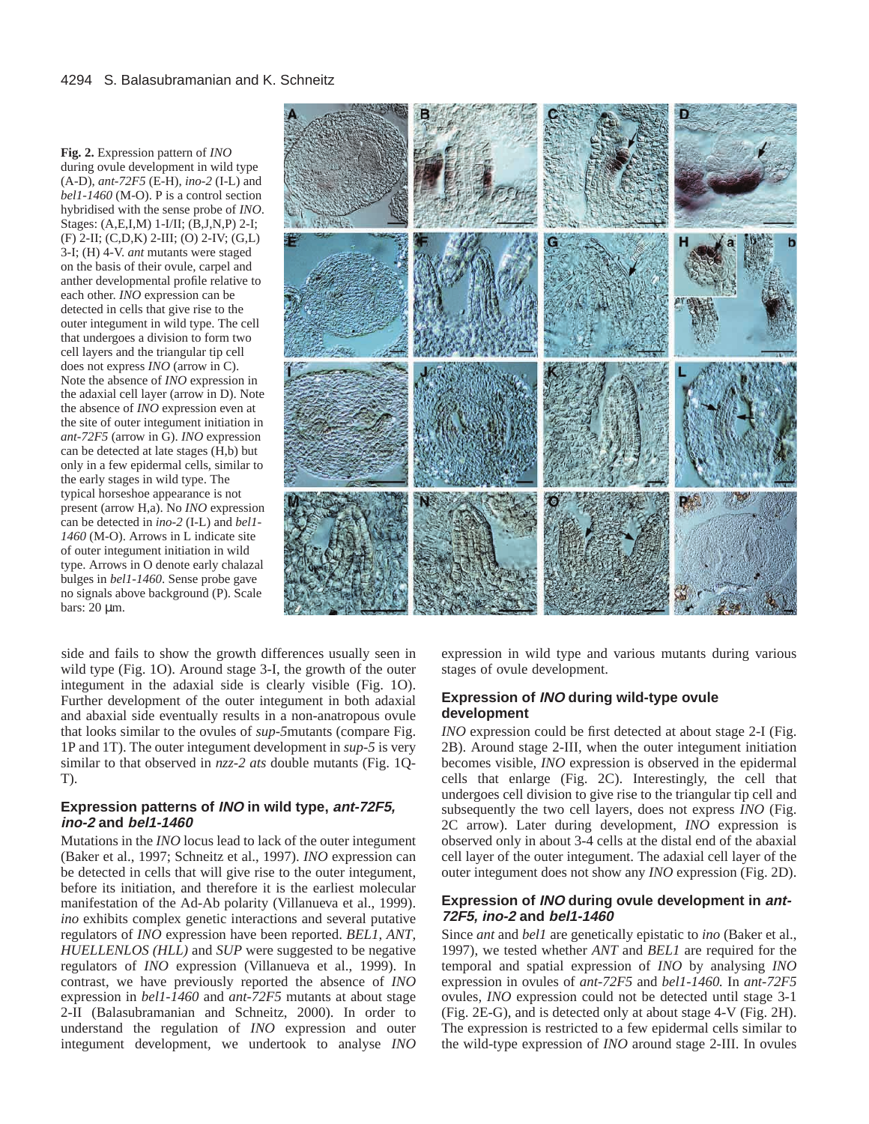**Fig. 2.** Expression pattern of *INO* during ovule development in wild type (A-D), *ant-72F5* (E-H), *ino-2* (I-L) and *bel1-1460* (M-O). P is a control section hybridised with the sense probe of *INO*. Stages: (A,E,I,M) 1-I/II; (B,J,N,P) 2-I; (F) 2-II; (C,D,K) 2-III; (O) 2-IV; (G,L) 3-I; (H) 4-V. *ant* mutants were staged on the basis of their ovule, carpel and anther developmental profile relative to each other. *INO* expression can be detected in cells that give rise to the outer integument in wild type. The cell that undergoes a division to form two cell layers and the triangular tip cell does not express *INO* (arrow in C). Note the absence of *INO* expression in the adaxial cell layer (arrow in D). Note the absence of *INO* expression even at the site of outer integument initiation in *ant-72F5* (arrow in G). *INO* expression can be detected at late stages (H,b) but only in a few epidermal cells, similar to the early stages in wild type. The typical horseshoe appearance is not present (arrow H,a). No *INO* expression can be detected in *ino-2* (I-L) and *bel1- 1460* (M-O). Arrows in L indicate site of outer integument initiation in wild type. Arrows in O denote early chalazal bulges in *bel1-1460*. Sense probe gave no signals above background (P). Scale bars: 20 um.



side and fails to show the growth differences usually seen in wild type (Fig. 1O). Around stage 3-I, the growth of the outer integument in the adaxial side is clearly visible (Fig. 1O). Further development of the outer integument in both adaxial and abaxial side eventually results in a non-anatropous ovule that looks similar to the ovules of *sup-5*mutants (compare Fig. 1P and 1T). The outer integument development in *sup-5* is very similar to that observed in *nzz-2 ats* double mutants (Fig. 1Q-T).

## **Expression patterns of INO in wild type, ant-72F5, ino-2 and bel1-1460**

Mutations in the *INO* locus lead to lack of the outer integument (Baker et al., 1997; Schneitz et al., 1997). *INO* expression can be detected in cells that will give rise to the outer integument, before its initiation, and therefore it is the earliest molecular manifestation of the Ad-Ab polarity (Villanueva et al., 1999). *ino* exhibits complex genetic interactions and several putative regulators of *INO* expression have been reported. *BEL1*, *ANT*, *HUELLENLOS (HLL)* and *SUP* were suggested to be negative regulators of *INO* expression (Villanueva et al., 1999). In contrast, we have previously reported the absence of *INO* expression in *bel1-1460* and *ant-72F5* mutants at about stage 2-II (Balasubramanian and Schneitz, 2000). In order to understand the regulation of *INO* expression and outer integument development, we undertook to analyse *INO* expression in wild type and various mutants during various stages of ovule development.

## **Expression of INO during wild-type ovule development**

*INO* expression could be first detected at about stage 2-I (Fig. 2B). Around stage 2-III, when the outer integument initiation becomes visible, *INO* expression is observed in the epidermal cells that enlarge (Fig. 2C). Interestingly, the cell that undergoes cell division to give rise to the triangular tip cell and subsequently the two cell layers, does not express *INO* (Fig. 2C arrow). Later during development, *INO* expression is observed only in about 3-4 cells at the distal end of the abaxial cell layer of the outer integument. The adaxial cell layer of the outer integument does not show any *INO* expression (Fig. 2D).

## **Expression of INO during ovule development in ant-72F5, ino-2 and bel1-1460**

Since *ant* and *bel1* are genetically epistatic to *ino* (Baker et al., 1997), we tested whether *ANT* and *BEL1* are required for the temporal and spatial expression of *INO* by analysing *INO* expression in ovules of *ant-72F5* and *bel1-1460.* In *ant-72F5* ovules, *INO* expression could not be detected until stage 3-1 (Fig. 2E-G), and is detected only at about stage 4-V (Fig. 2H). The expression is restricted to a few epidermal cells similar to the wild-type expression of *INO* around stage 2-III. In ovules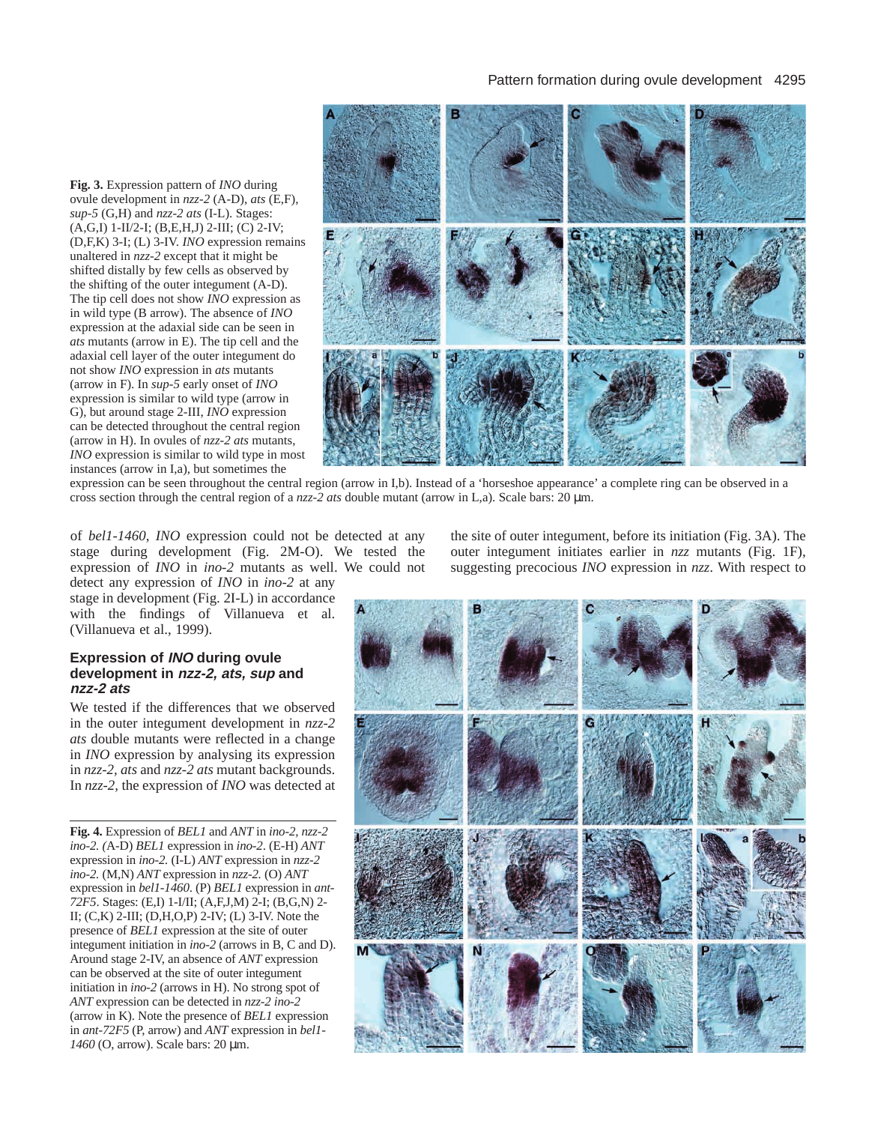**Fig. 3.** Expression pattern of *INO* during ovule development in *nzz-2* (A-D), *ats* (E,F), *sup-5* (G,H) and *nzz-2 ats* (I-L). Stages: (A,G,I) 1-II/2-I; (B,E,H,J) 2-III; (C) 2-IV; (D,F,K) 3-I; (L) 3-IV. *INO* expression remains unaltered in *nzz-2* except that it might be shifted distally by few cells as observed by the shifting of the outer integument (A-D). The tip cell does not show *INO* expression as in wild type (B arrow). The absence of *INO* expression at the adaxial side can be seen in *ats* mutants (arrow in E). The tip cell and the adaxial cell layer of the outer integument do not show *INO* expression in *ats* mutants (arrow in F). In *sup-5* early onset of *INO* expression is similar to wild type (arrow in G), but around stage 2-III, *INO* expression can be detected throughout the central region (arrow in H). In ovules of *nzz-2 ats* mutants, *INO* expression is similar to wild type in most instances (arrow in I,a), but sometimes the



expression can be seen throughout the central region (arrow in I,b). Instead of a 'horseshoe appearance' a complete ring can be observed in a cross section through the central region of a *nzz-2 ats* double mutant (arrow in L,a). Scale bars: 20 µm.

of *bel1-1460, INO* expression could not be detected at any stage during development (Fig. 2M-O). We tested the expression of *INO* in *ino-2* mutants as well. We could not detect any expression of *INO* in *ino-2* at any

stage in development (Fig. 2I-L) in accordance with the findings of Villanueva et al. (Villanueva et al., 1999).

#### **Expression of INO during ovule development in nzz-2, ats, sup and nzz-2 ats**

We tested if the differences that we observed in the outer integument development in *nzz-2 ats* double mutants were reflected in a change in *INO* expression by analysing its expression in *nzz-2, ats* and *nzz-2 ats* mutant backgrounds. In *nzz-2,* the expression of *INO* was detected at

**Fig. 4.** Expression of *BEL1* and *ANT* in *ino-2, nzz-2 ino-2. (*A-D) *BEL1* expression in *ino-2*. (E-H) *ANT* expression in *ino-2.* (I-L) *ANT* expression in *nzz-2 ino-2.* (M,N) *ANT* expression in *nzz-2.* (O) *ANT* expression in *bel1-1460*. (P) *BEL1* expression in *ant-72F5*. Stages: (E,I) 1-I/II; (A,F,J,M) 2-I; (B,G,N) 2- II;  $(C,K)$  2-III;  $(D,H,O,P)$  2-IV;  $(L)$  3-IV. Note the presence of *BEL1* expression at the site of outer integument initiation in *ino-2* (arrows in B, C and D). Around stage 2-IV, an absence of *ANT* expression can be observed at the site of outer integument initiation in *ino-2* (arrows in H). No strong spot of *ANT* expression can be detected in *nzz-2 ino-2* (arrow in K). Note the presence of *BEL1* expression in *ant-72F5* (P, arrow) and *ANT* expression in *bel1- 1460* (O, arrow). Scale bars: 20 µm.

the site of outer integument, before its initiation (Fig. 3A). The outer integument initiates earlier in *nzz* mutants (Fig. 1F), suggesting precocious *INO* expression in *nzz*. With respect to

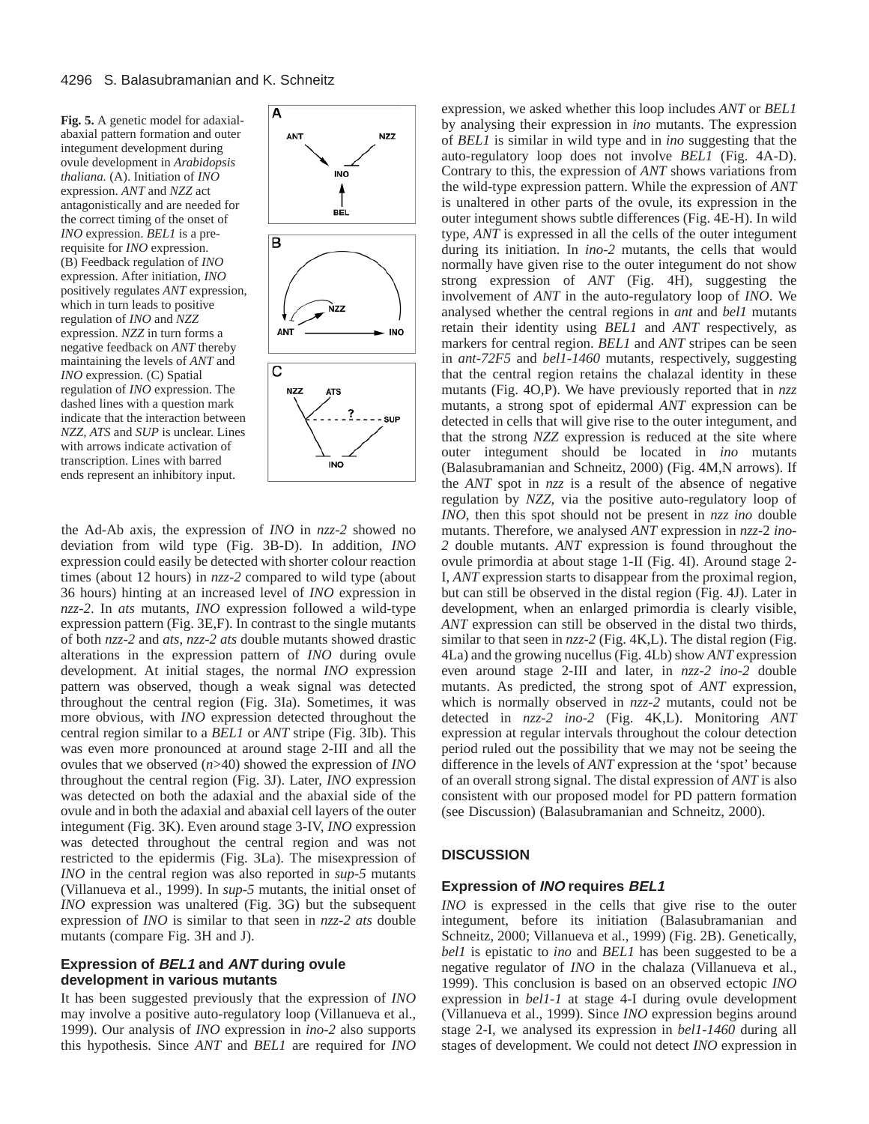**Fig. 5.** A genetic model for adaxialabaxial pattern formation and outer integument development during ovule development in *Arabidopsis thaliana.* (A). Initiation of *INO* expression. *ANT* and *NZZ* act antagonistically and are needed for the correct timing of the onset of *INO* expression. *BEL1* is a prerequisite for *INO* expression. (B) Feedback regulation of *INO* expression. After initiation, *INO* positively regulates *ANT* expression, which in turn leads to positive regulation of *INO* and *NZZ* expression. *NZZ* in turn forms a negative feedback on *ANT* thereby maintaining the levels of *ANT* and *INO* expression*.* (C) Spatial regulation of *INO* expression. The dashed lines with a question mark indicate that the interaction between *NZZ, ATS* and *SUP* is unclear. Lines with arrows indicate activation of transcription. Lines with barred ends represent an inhibitory input.



the Ad-Ab axis, the expression of *INO* in *nzz-2* showed no deviation from wild type (Fig. 3B-D). In addition, *INO* expression could easily be detected with shorter colour reaction times (about 12 hours) in *nzz-2* compared to wild type (about 36 hours) hinting at an increased level of *INO* expression in *nzz-2*. In *ats* mutants, *INO* expression followed a wild-type expression pattern (Fig. 3E,F). In contrast to the single mutants of both *nzz-2* and *ats, nzz-2 ats* double mutants showed drastic alterations in the expression pattern of *INO* during ovule development. At initial stages, the normal *INO* expression pattern was observed, though a weak signal was detected throughout the central region (Fig. 3Ia). Sometimes, it was more obvious, with *INO* expression detected throughout the central region similar to a *BEL1* or *ANT* stripe (Fig. 3Ib). This was even more pronounced at around stage 2-III and all the ovules that we observed (*n*>40) showed the expression of *INO* throughout the central region (Fig. 3J). Later, *INO* expression was detected on both the adaxial and the abaxial side of the ovule and in both the adaxial and abaxial cell layers of the outer integument (Fig. 3K). Even around stage 3-IV, *INO* expression was detected throughout the central region and was not restricted to the epidermis (Fig. 3La). The misexpression of *INO* in the central region was also reported in *sup-5* mutants (Villanueva et al., 1999). In *sup-5* mutants, the initial onset of *INO* expression was unaltered (Fig. 3G) but the subsequent expression of *INO* is similar to that seen in *nzz-2 ats* double mutants (compare Fig. 3H and J).

#### **Expression of BEL1 and ANT during ovule development in various mutants**

It has been suggested previously that the expression of *INO* may involve a positive auto-regulatory loop (Villanueva et al., 1999). Our analysis of *INO* expression in *ino-2* also supports this hypothesis. Since *ANT* and *BEL1* are required for *INO*

expression, we asked whether this loop includes *ANT* or *BEL1* by analysing their expression in *ino* mutants. The expression of *BEL1* is similar in wild type and in *ino* suggesting that the auto-regulatory loop does not involve *BEL1* (Fig. 4A-D). Contrary to this, the expression of *ANT* shows variations from the wild-type expression pattern. While the expression of *ANT* is unaltered in other parts of the ovule, its expression in the outer integument shows subtle differences (Fig. 4E-H). In wild type, *ANT* is expressed in all the cells of the outer integument during its initiation. In *ino-2* mutants, the cells that would normally have given rise to the outer integument do not show strong expression of *ANT* (Fig. 4H), suggesting the involvement of *ANT* in the auto-regulatory loop of *INO*. We analysed whether the central regions in *ant* and *bel1* mutants retain their identity using *BEL1* and *ANT* respectively, as markers for central region. *BEL1* and *ANT* stripes can be seen in *ant-72F5* and *bel1-1460* mutants, respectively, suggesting that the central region retains the chalazal identity in these mutants (Fig. 4O,P). We have previously reported that in *nzz* mutants, a strong spot of epidermal *ANT* expression can be detected in cells that will give rise to the outer integument, and that the strong *NZZ* expression is reduced at the site where outer integument should be located in *ino* mutants (Balasubramanian and Schneitz, 2000) (Fig. 4M,N arrows). If the *ANT* spot in *nzz* is a result of the absence of negative regulation by *NZZ,* via the positive auto-regulatory loop of *INO*, then this spot should not be present in *nzz ino* double mutants. Therefore, we analysed *ANT* expression in *nzz*-2 *ino-2* double mutants. *ANT* expression is found throughout the ovule primordia at about stage 1-II (Fig. 4I). Around stage 2- I, *ANT* expression starts to disappear from the proximal region, but can still be observed in the distal region (Fig. 4J). Later in development, when an enlarged primordia is clearly visible, *ANT* expression can still be observed in the distal two thirds, similar to that seen in *nzz-2* (Fig. 4K,L). The distal region (Fig. 4La) and the growing nucellus (Fig. 4Lb) show *ANT* expression even around stage 2-III and later, in *nzz-2 ino-2* double mutants. As predicted, the strong spot of *ANT* expression, which is normally observed in *nzz-2* mutants, could not be detected in *nzz-2 ino-2* (Fig. 4K,L). Monitoring *ANT* expression at regular intervals throughout the colour detection period ruled out the possibility that we may not be seeing the difference in the levels of *ANT* expression at the 'spot' because of an overall strong signal. The distal expression of *ANT* is also consistent with our proposed model for PD pattern formation (see Discussion) (Balasubramanian and Schneitz, 2000).

## **DISCUSSION**

#### **Expression of INO requires BEL1**

*INO* is expressed in the cells that give rise to the outer integument, before its initiation (Balasubramanian and Schneitz, 2000; Villanueva et al., 1999) (Fig. 2B). Genetically, *bel1* is epistatic to *ino* and *BEL1* has been suggested to be a negative regulator of *INO* in the chalaza (Villanueva et al., 1999). This conclusion is based on an observed ectopic *INO* expression in *bel1-1* at stage 4-I during ovule development (Villanueva et al., 1999). Since *INO* expression begins around stage 2-I, we analysed its expression in *bel1-1460* during all stages of development. We could not detect *INO* expression in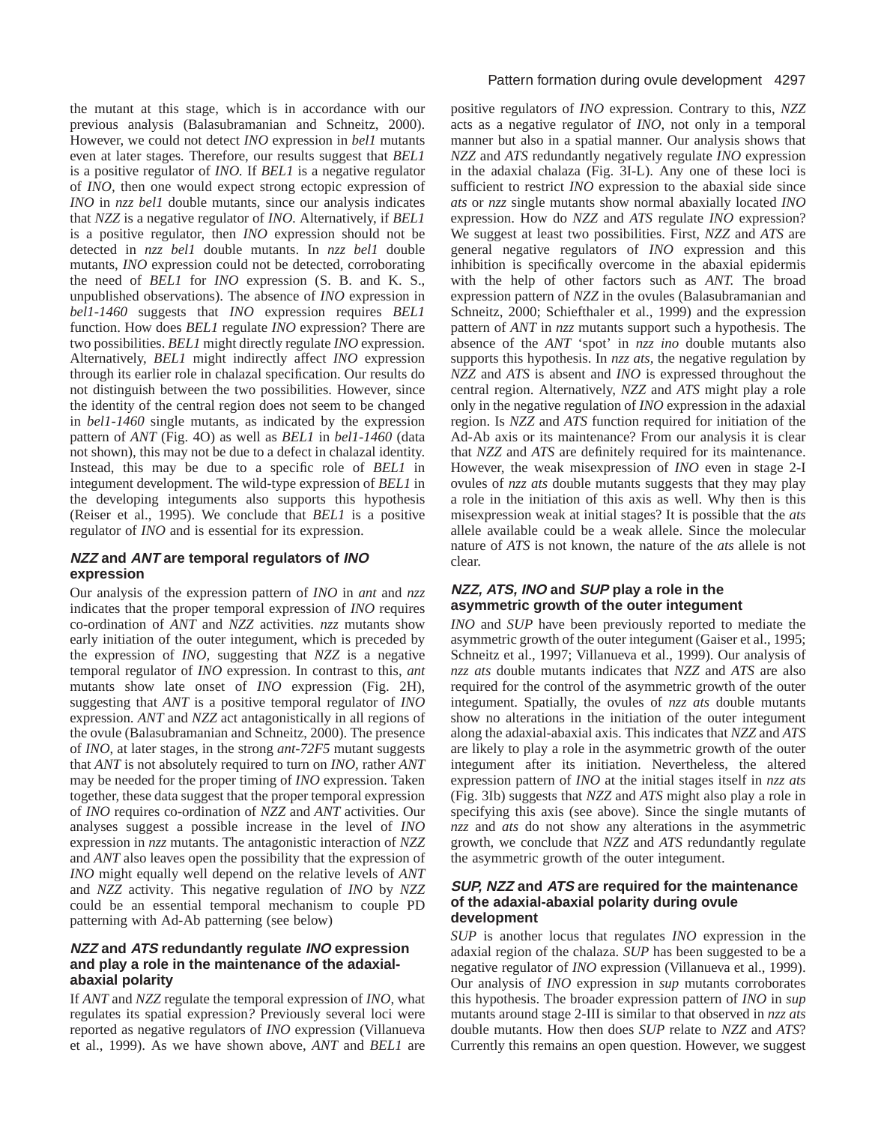the mutant at this stage, which is in accordance with our previous analysis (Balasubramanian and Schneitz, 2000). However, we could not detect *INO* expression in *bel1* mutants even at later stages*.* Therefore, our results suggest that *BEL1* is a positive regulator of *INO.* If *BEL1* is a negative regulator of *INO,* then one would expect strong ectopic expression of *INO* in *nzz bel1* double mutants, since our analysis indicates that *NZZ* is a negative regulator of *INO.* Alternatively, if *BEL1* is a positive regulator, then *INO* expression should not be detected in *nzz bel1* double mutants. In *nzz bel1* double mutants, *INO* expression could not be detected, corroborating the need of *BEL1* for *INO* expression (S. B. and K. S., unpublished observations). The absence of *INO* expression in *bel1-1460* suggests that *INO* expression requires *BEL1* function. How does *BEL1* regulate *INO* expression? There are two possibilities. *BEL1* might directly regulate *INO* expression. Alternatively, *BEL1* might indirectly affect *INO* expression through its earlier role in chalazal specification. Our results do not distinguish between the two possibilities. However, since the identity of the central region does not seem to be changed in *bel1-1460* single mutants*,* as indicated by the expression pattern of *ANT* (Fig. 4O) as well as *BEL1* in *bel1-1460* (data not shown), this may not be due to a defect in chalazal identity. Instead, this may be due to a specific role of *BEL1* in integument development. The wild-type expression of *BEL1* in the developing integuments also supports this hypothesis (Reiser et al., 1995). We conclude that *BEL1* is a positive regulator of *INO* and is essential for its expression.

# **NZZ and ANT are temporal regulators of INO expression**

Our analysis of the expression pattern of *INO* in *ant* and *nzz* indicates that the proper temporal expression of *INO* requires co-ordination of *ANT* and *NZZ* activities*. nzz* mutants show early initiation of the outer integument, which is preceded by the expression of *INO,* suggesting that *NZZ* is a negative temporal regulator of *INO* expression. In contrast to this, *ant* mutants show late onset of *INO* expression (Fig. 2H), suggesting that *ANT* is a positive temporal regulator of *INO* expression. *ANT* and *NZZ* act antagonistically in all regions of the ovule (Balasubramanian and Schneitz, 2000). The presence of *INO*, at later stages, in the strong *ant-72F5* mutant suggests that *ANT* is not absolutely required to turn on *INO,* rather *ANT* may be needed for the proper timing of *INO* expression. Taken together, these data suggest that the proper temporal expression of *INO* requires co-ordination of *NZZ* and *ANT* activities. Our analyses suggest a possible increase in the level of *INO* expression in *nzz* mutants. The antagonistic interaction of *NZZ* and *ANT* also leaves open the possibility that the expression of *INO* might equally well depend on the relative levels of *ANT* and *NZZ* activity*.* This negative regulation of *INO* by *NZZ* could be an essential temporal mechanism to couple PD patterning with Ad-Ab patterning (see below)

# **NZZ and ATS redundantly regulate INO expression and play a role in the maintenance of the adaxialabaxial polarity**

If *ANT* and *NZZ* regulate the temporal expression of *INO*, what regulates its spatial expression*?* Previously several loci were reported as negative regulators of *INO* expression (Villanueva et al., 1999). As we have shown above, *ANT* and *BEL1* are

# Pattern formation during ovule development 4297

positive regulators of *INO* expression. Contrary to this, *NZZ* acts as a negative regulator of *INO*, not only in a temporal manner but also in a spatial manner. Our analysis shows that *NZZ* and *ATS* redundantly negatively regulate *INO* expression in the adaxial chalaza (Fig. 3I-L). Any one of these loci is sufficient to restrict *INO* expression to the abaxial side since *ats* or *nzz* single mutants show normal abaxially located *INO* expression. How do *NZZ* and *ATS* regulate *INO* expression? We suggest at least two possibilities. First, *NZZ* and *ATS* are general negative regulators of *INO* expression and this inhibition is specifically overcome in the abaxial epidermis with the help of other factors such as *ANT.* The broad expression pattern of *NZZ* in the ovules (Balasubramanian and Schneitz, 2000; Schiefthaler et al., 1999) and the expression pattern of *ANT* in *nzz* mutants support such a hypothesis. The absence of the *ANT* 'spot' in *nzz ino* double mutants also supports this hypothesis. In *nzz ats*, the negative regulation by *NZZ* and *ATS* is absent and *INO* is expressed throughout the central region. Alternatively, *NZZ* and *ATS* might play a role only in the negative regulation of *INO* expression in the adaxial region. Is *NZZ* and *ATS* function required for initiation of the Ad-Ab axis or its maintenance? From our analysis it is clear that *NZZ* and *ATS* are definitely required for its maintenance. However, the weak misexpression of *INO* even in stage 2-I ovules of *nzz ats* double mutants suggests that they may play a role in the initiation of this axis as well. Why then is this misexpression weak at initial stages? It is possible that the *ats* allele available could be a weak allele. Since the molecular nature of *ATS* is not known, the nature of the *ats* allele is not clear.

# **NZZ, ATS, INO and SUP play a role in the asymmetric growth of the outer integument**

*INO* and *SUP* have been previously reported to mediate the asymmetric growth of the outer integument (Gaiser et al., 1995; Schneitz et al., 1997; Villanueva et al., 1999). Our analysis of *nzz ats* double mutants indicates that *NZZ* and *ATS* are also required for the control of the asymmetric growth of the outer integument. Spatially, the ovules of *nzz ats* double mutants show no alterations in the initiation of the outer integument along the adaxial-abaxial axis. This indicates that *NZZ* and *ATS* are likely to play a role in the asymmetric growth of the outer integument after its initiation. Nevertheless, the altered expression pattern of *INO* at the initial stages itself in *nzz ats* (Fig. 3Ib) suggests that *NZZ* and *ATS* might also play a role in specifying this axis (see above). Since the single mutants of *nzz* and *ats* do not show any alterations in the asymmetric growth, we conclude that *NZZ* and *ATS* redundantly regulate the asymmetric growth of the outer integument.

## **SUP, NZZ and ATS are required for the maintenance of the adaxial-abaxial polarity during ovule development**

*SUP* is another locus that regulates *INO* expression in the adaxial region of the chalaza. *SUP* has been suggested to be a negative regulator of *INO* expression (Villanueva et al., 1999). Our analysis of *INO* expression in *sup* mutants corroborates this hypothesis. The broader expression pattern of *INO* in *sup* mutants around stage 2-III is similar to that observed in *nzz ats* double mutants. How then does *SUP* relate to *NZZ* and *ATS*? Currently this remains an open question. However, we suggest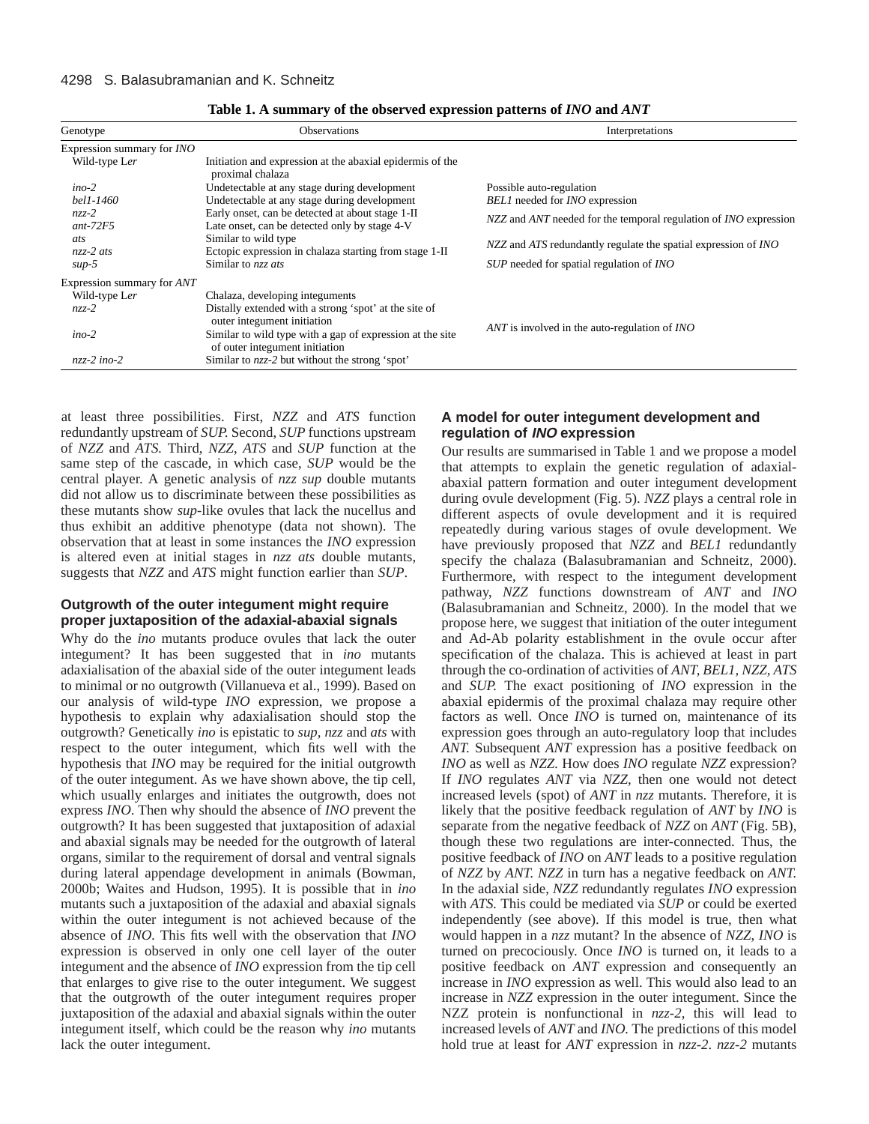| Genotype                          | <b>Observations</b>                                                                               | Interpretations                                                    |  |
|-----------------------------------|---------------------------------------------------------------------------------------------------|--------------------------------------------------------------------|--|
| Expression summary for <i>INO</i> |                                                                                                   |                                                                    |  |
| Wild-type Ler                     | Initiation and expression at the abaxial epidermis of the<br>proximal chalaza                     |                                                                    |  |
| $ino-2$                           | Undetectable at any stage during development                                                      | Possible auto-regulation                                           |  |
| bel1-1460                         | Undetectable at any stage during development                                                      | <b>BEL1</b> needed for <i>INO</i> expression                       |  |
| $nzz-2$<br>$ant-72F5$             | Early onset, can be detected at about stage 1-II<br>Late onset, can be detected only by stage 4-V | NZZ and ANT needed for the temporal regulation of INO expression   |  |
| ats                               | Similar to wild type                                                                              | $NZZ$ and ATS redundantly regulate the spatial expression of $INO$ |  |
| $nzz-2$ ats                       | Ectopic expression in chalaza starting from stage 1-II                                            |                                                                    |  |
| $sup-5$                           | Similar to nzz ats                                                                                | SUP needed for spatial regulation of INO                           |  |
| Expression summary for <i>ANT</i> |                                                                                                   |                                                                    |  |
| Wild-type Ler                     | Chalaza, developing integuments                                                                   |                                                                    |  |
| $nzz-2$                           | Distally extended with a strong 'spot' at the site of<br>outer integument initiation              |                                                                    |  |
| $ino-2$                           | Similar to wild type with a gap of expression at the site<br>of outer integument initiation       | ANT is involved in the auto-regulation of INO                      |  |
| $nzz-2$ ino-2                     | Similar to $nzz-2$ but without the strong 'spot'                                                  |                                                                    |  |

| Table 1. A summary of the observed expression patterns of <i>INO</i> and <i>ANT</i> |  |  |
|-------------------------------------------------------------------------------------|--|--|
|                                                                                     |  |  |

at least three possibilities. First, *NZZ* and *ATS* function redundantly upstream of *SUP.* Second, *SUP* functions upstream of *NZZ* and *ATS.* Third, *NZZ*, *ATS* and *SUP* function at the same step of the cascade, in which case, *SUP* would be the central player. A genetic analysis of *nzz sup* double mutants did not allow us to discriminate between these possibilities as these mutants show *sup-*like ovules that lack the nucellus and thus exhibit an additive phenotype (data not shown). The observation that at least in some instances the *INO* expression is altered even at initial stages in *nzz ats* double mutants, suggests that *NZZ* and *ATS* might function earlier than *SUP*.

## **Outgrowth of the outer integument might require proper juxtaposition of the adaxial-abaxial signals**

Why do the *ino* mutants produce ovules that lack the outer integument? It has been suggested that in *ino* mutants adaxialisation of the abaxial side of the outer integument leads to minimal or no outgrowth (Villanueva et al., 1999). Based on our analysis of wild-type *INO* expression, we propose a hypothesis to explain why adaxialisation should stop the outgrowth? Genetically *ino* is epistatic to *sup, nzz* and *ats* with respect to the outer integument, which fits well with the hypothesis that *INO* may be required for the initial outgrowth of the outer integument. As we have shown above, the tip cell, which usually enlarges and initiates the outgrowth, does not express *INO*. Then why should the absence of *INO* prevent the outgrowth? It has been suggested that juxtaposition of adaxial and abaxial signals may be needed for the outgrowth of lateral organs, similar to the requirement of dorsal and ventral signals during lateral appendage development in animals (Bowman, 2000b; Waites and Hudson, 1995). It is possible that in *ino* mutants such a juxtaposition of the adaxial and abaxial signals within the outer integument is not achieved because of the absence of *INO.* This fits well with the observation that *INO* expression is observed in only one cell layer of the outer integument and the absence of *INO* expression from the tip cell that enlarges to give rise to the outer integument. We suggest that the outgrowth of the outer integument requires proper juxtaposition of the adaxial and abaxial signals within the outer integument itself, which could be the reason why *ino* mutants lack the outer integument.

## **A model for outer integument development and regulation of INO expression**

Our results are summarised in Table 1 and we propose a model that attempts to explain the genetic regulation of adaxialabaxial pattern formation and outer integument development during ovule development (Fig. 5). *NZZ* plays a central role in different aspects of ovule development and it is required repeatedly during various stages of ovule development. We have previously proposed that *NZZ* and *BEL1* redundantly specify the chalaza (Balasubramanian and Schneitz, 2000). Furthermore, with respect to the integument development pathway, *NZZ* functions downstream of *ANT* and *INO* (Balasubramanian and Schneitz, 2000)*.* In the model that we propose here, we suggest that initiation of the outer integument and Ad-Ab polarity establishment in the ovule occur after specification of the chalaza. This is achieved at least in part through the co-ordination of activities of *ANT, BEL1, NZZ, ATS* and *SUP.* The exact positioning of *INO* expression in the abaxial epidermis of the proximal chalaza may require other factors as well. Once *INO* is turned on, maintenance of its expression goes through an auto-regulatory loop that includes *ANT.* Subsequent *ANT* expression has a positive feedback on *INO* as well as *NZZ.* How does *INO* regulate *NZZ* expression? If *INO* regulates *ANT* via *NZZ*, then one would not detect increased levels (spot) of *ANT* in *nzz* mutants. Therefore, it is likely that the positive feedback regulation of *ANT* by *INO* is separate from the negative feedback of *NZZ* on *ANT* (Fig. 5B), though these two regulations are inter-connected. Thus, the positive feedback of *INO* on *ANT* leads to a positive regulation of *NZZ* by *ANT. NZZ* in turn has a negative feedback on *ANT.* In the adaxial side, *NZZ* redundantly regulates *INO* expression with *ATS.* This could be mediated via *SUP* or could be exerted independently (see above). If this model is true, then what would happen in a *nzz* mutant? In the absence of *NZZ*, *INO* is turned on precociously. Once *INO* is turned on, it leads to a positive feedback on *ANT* expression and consequently an increase in *INO* expression as well. This would also lead to an increase in *NZZ* expression in the outer integument. Since the NZZ protein is nonfunctional in *nzz-2*, this will lead to increased levels of *ANT* and *INO.* The predictions of this model hold true at least for *ANT* expression in *nzz-2*. *nzz-2* mutants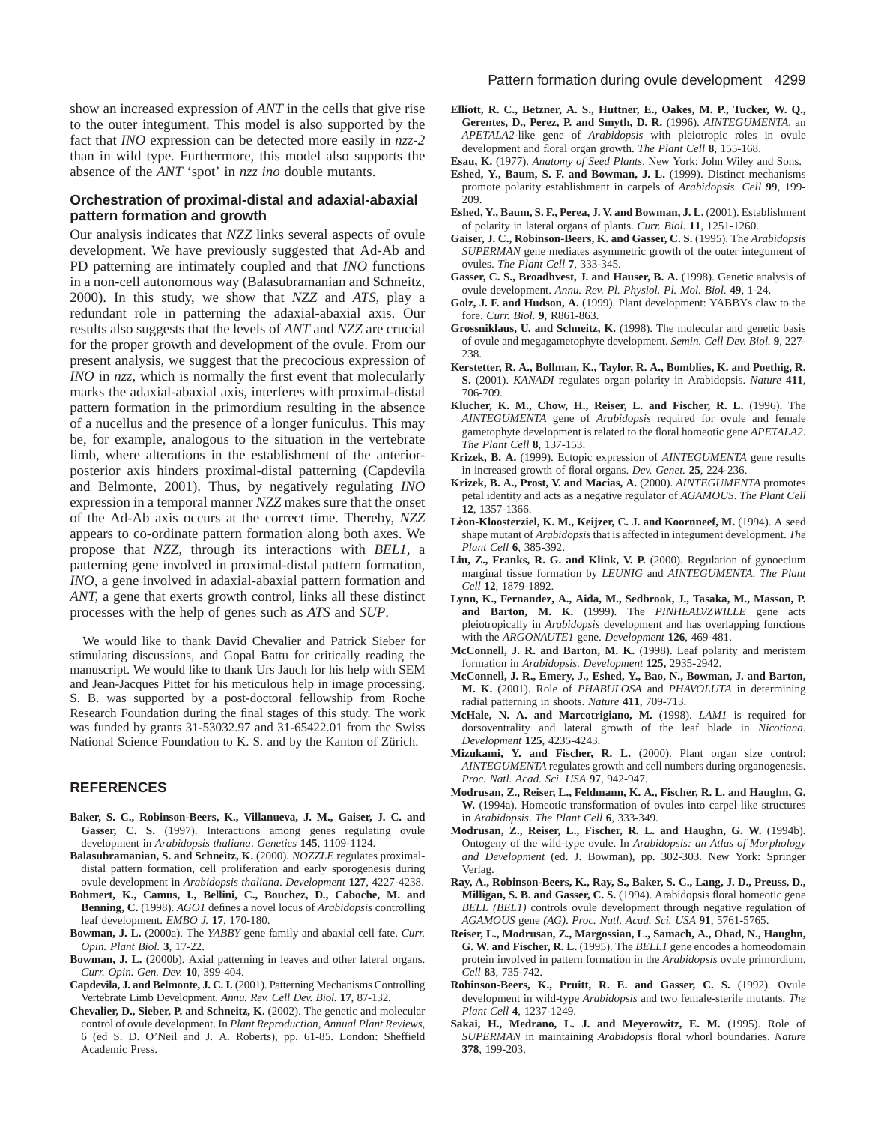show an increased expression of *ANT* in the cells that give rise to the outer integument. This model is also supported by the fact that *INO* expression can be detected more easily in *nzz-2* than in wild type. Furthermore, this model also supports the absence of the *ANT* 'spot' in *nzz ino* double mutants.

#### **Orchestration of proximal-distal and adaxial-abaxial pattern formation and growth**

Our analysis indicates that *NZZ* links several aspects of ovule development. We have previously suggested that Ad-Ab and PD patterning are intimately coupled and that *INO* functions in a non-cell autonomous way (Balasubramanian and Schneitz, 2000). In this study, we show that *NZZ* and *ATS,* play a redundant role in patterning the adaxial-abaxial axis. Our results also suggests that the levels of *ANT* and *NZZ* are crucial for the proper growth and development of the ovule. From our present analysis, we suggest that the precocious expression of *INO* in *nzz*, which is normally the first event that molecularly marks the adaxial-abaxial axis, interferes with proximal-distal pattern formation in the primordium resulting in the absence of a nucellus and the presence of a longer funiculus. This may be, for example, analogous to the situation in the vertebrate limb, where alterations in the establishment of the anteriorposterior axis hinders proximal-distal patterning (Capdevila and Belmonte, 2001). Thus, by negatively regulating *INO* expression in a temporal manner *NZZ* makes sure that the onset of the Ad-Ab axis occurs at the correct time. Thereby, *NZZ* appears to co-ordinate pattern formation along both axes. We propose that *NZZ,* through its interactions with *BEL1,* a patterning gene involved in proximal-distal pattern formation, *INO*, a gene involved in adaxial-abaxial pattern formation and *ANT,* a gene that exerts growth control, links all these distinct processes with the help of genes such as *ATS* and *SUP*.

We would like to thank David Chevalier and Patrick Sieber for stimulating discussions, and Gopal Battu for critically reading the manuscript. We would like to thank Urs Jauch for his help with SEM and Jean-Jacques Pittet for his meticulous help in image processing. S. B. was supported by a post-doctoral fellowship from Roche Research Foundation during the final stages of this study. The work was funded by grants 31-53032.97 and 31-65422.01 from the Swiss National Science Foundation to K. S. and by the Kanton of Zürich.

## **REFERENCES**

- **Baker, S. C., Robinson-Beers, K., Villanueva, J. M., Gaiser, J. C. and** Gasser, C. S. (1997). Interactions among genes regulating ovule development in *Arabidopsis thaliana*. *Genetics* **145**, 1109-1124.
- **Balasubramanian, S. and Schneitz, K.** (2000). *NOZZLE* regulates proximaldistal pattern formation, cell proliferation and early sporogenesis during ovule development in *Arabidopsis thaliana*. *Development* **127**, 4227-4238.
- **Bohmert, K., Camus, I., Bellini, C., Bouchez, D., Caboche, M. and Benning, C.** (1998). *AGO1* defines a novel locus of *Arabidopsis* controlling leaf development. *EMBO J.* **17**, 170-180.
- **Bowman, J. L.** (2000a). The *YABBY* gene family and abaxial cell fate. *Curr. Opin. Plant Biol.* **3**, 17-22.
- **Bowman, J. L.** (2000b). Axial patterning in leaves and other lateral organs. *Curr. Opin. Gen. Dev.* **10**, 399-404.
- **Capdevila, J. and Belmonte, J. C. I.** (2001). Patterning Mechanisms Controlling Vertebrate Limb Development. *Annu. Rev. Cell Dev. Biol.* **17**, 87-132.
- **Chevalier, D., Sieber, P. and Schneitz, K.** (2002). The genetic and molecular control of ovule development. In *Plant Reproduction, Annual Plant Reviews,* 6 (ed S. D. O'Neil and J. A. Roberts), pp. 61-85. London: Sheffield Academic Press.
- **Elliott, R. C., Betzner, A. S., Huttner, E., Oakes, M. P., Tucker, W. Q., Gerentes, D., Perez, P. and Smyth, D. R.** (1996). *AINTEGUMENTA*, an *APETALA2*-like gene of *Arabidopsis* with pleiotropic roles in ovule development and floral organ growth. *The Plant Cell* **8**, 155-168.
- **Esau, K.** (1977). *Anatomy of Seed Plants*. New York: John Wiley and Sons.
- **Eshed, Y., Baum, S. F. and Bowman, J. L.** (1999). Distinct mechanisms promote polarity establishment in carpels of *Arabidopsis*. *Cell* **99**, 199- 209.
- **Eshed, Y., Baum, S. F., Perea, J. V. and Bowman, J. L.** (2001). Establishment of polarity in lateral organs of plants. *Curr. Biol.* **11**, 1251-1260.
- **Gaiser, J. C., Robinson-Beers, K. and Gasser, C. S.** (1995). The *Arabidopsis SUPERMAN* gene mediates asymmetric growth of the outer integument of ovules. *The Plant Cell* **7**, 333-345.
- **Gasser, C. S., Broadhvest, J. and Hauser, B. A.** (1998). Genetic analysis of ovule development. *Annu. Rev. Pl. Physiol. Pl. Mol. Biol.* **49**, 1-24.
- **Golz, J. F. and Hudson, A.** (1999). Plant development: YABBYs claw to the fore. *Curr. Biol.* **9**, R861-863.
- **Grossniklaus, U. and Schneitz, K.** (1998). The molecular and genetic basis of ovule and megagametophyte development. *Semin. Cell Dev. Biol.* **9**, 227- 238.
- **Kerstetter, R. A., Bollman, K., Taylor, R. A., Bomblies, K. and Poethig, R. S.** (2001). *KANADI* regulates organ polarity in Arabidopsis. *Nature* **411**, 706-709.
- **Klucher, K. M., Chow, H., Reiser, L. and Fischer, R. L.** (1996). The *AINTEGUMENTA* gene of *Arabidopsis* required for ovule and female gametophyte development is related to the floral homeotic gene *APETALA2*. *The Plant Cell* **8**, 137-153.
- **Krizek, B. A.** (1999). Ectopic expression of *AINTEGUMENTA* gene results in increased growth of floral organs. *Dev. Genet.* **25**, 224-236.
- **Krizek, B. A., Prost, V. and Macias, A.** (2000). *AINTEGUMENTA* promotes petal identity and acts as a negative regulator of *AGAMOUS*. *The Plant Cell* **12**, 1357-1366.
- **Lèon-Kloosterziel, K. M., Keijzer, C. J. and Koornneef, M.** (1994). A seed shape mutant of *Arabidopsis* that is affected in integument development. *The Plant Cell* **6**, 385-392.
- **Liu, Z., Franks, R. G. and Klink, V. P.** (2000). Regulation of gynoecium marginal tissue formation by *LEUNIG* and *AINTEGUMENTA*. *The Plant Cell* **12**, 1879-1892.
- **Lynn, K., Fernandez, A., Aida, M., Sedbrook, J., Tasaka, M., Masson, P.** and Barton, M. K. (1999). The *PINHEAD/ZWILLE* gene acts pleiotropically in *Arabidopsis* development and has overlapping functions with the *ARGONAUTE1* gene. *Development* **126**, 469-481.
- **McConnell, J. R. and Barton, M. K.** (1998). Leaf polarity and meristem formation in *Arabidopsis. Development* **125,** 2935-2942.
- **McConnell, J. R., Emery, J., Eshed, Y., Bao, N., Bowman, J. and Barton, M. K.** (2001). Role of *PHABULOSA* and *PHAVOLUTA* in determining radial patterning in shoots. *Nature* **411**, 709-713.
- **McHale, N. A. and Marcotrigiano, M.** (1998). *LAM1* is required for dorsoventrality and lateral growth of the leaf blade in *Nicotiana*. *Development* **125**, 4235-4243.
- **Mizukami, Y. and Fischer, R. L.** (2000). Plant organ size control: *AINTEGUMENTA* regulates growth and cell numbers during organogenesis. *Proc. Natl. Acad. Sci. USA* **97**, 942-947.
- **Modrusan, Z., Reiser, L., Feldmann, K. A., Fischer, R. L. and Haughn, G. W.** (1994a). Homeotic transformation of ovules into carpel-like structures in *Arabidopsis*. *The Plant Cell* **6**, 333-349.
- **Modrusan, Z., Reiser, L., Fischer, R. L. and Haughn, G. W.** (1994b). Ontogeny of the wild-type ovule. In *Arabidopsis: an Atlas of Morphology and Development* (ed. J. Bowman), pp. 302-303. New York: Springer Verlag.
- **Ray, A., Robinson-Beers, K., Ray, S., Baker, S. C., Lang, J. D., Preuss, D., Milligan, S. B. and Gasser, C. S.** (1994). Arabidopsis floral homeotic gene *BELL (BEL1)* controls ovule development through negative regulation of *AGAMOUS* gene *(AG)*. *Proc. Natl. Acad. Sci. USA* **91**, 5761-5765.
- **Reiser, L., Modrusan, Z., Margossian, L., Samach, A., Ohad, N., Haughn, G. W. and Fischer, R. L.** (1995). The *BELL1* gene encodes a homeodomain protein involved in pattern formation in the *Arabidopsis* ovule primordium. *Cell* **83**, 735-742.
- **Robinson-Beers, K., Pruitt, R. E. and Gasser, C. S.** (1992). Ovule development in wild-type *Arabidopsis* and two female-sterile mutants. *The Plant Cell* **4**, 1237-1249.
- **Sakai, H., Medrano, L. J. and Meyerowitz, E. M.** (1995). Role of *SUPERMAN* in maintaining *Arabidopsis* floral whorl boundaries. *Nature* **378**, 199-203.